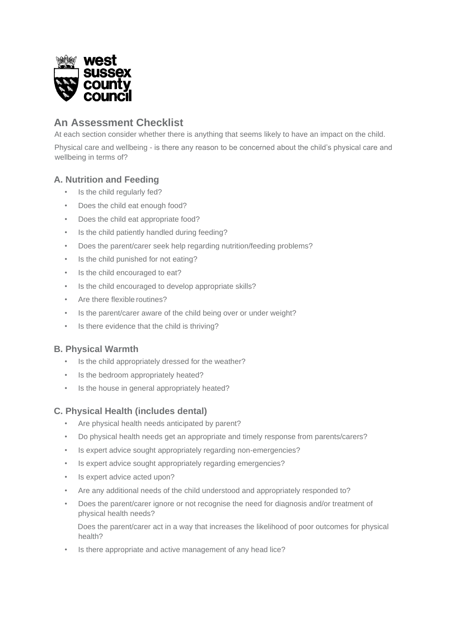

# **An Assessment Checklist**

At each section consider whether there is anything that seems likely to have an impact on the child.

Physical care and wellbeing - is there any reason to be concerned about the child's physical care and wellbeing in terms of?

# **A. Nutrition and Feeding**

- Is the child regularly fed?
- Does the child eat enough food?
- Does the child eat appropriate food?
- Is the child patiently handled during feeding?
- Does the parent/carer seek help regarding nutrition/feeding problems?
- Is the child punished for not eating?
- Is the child encouraged to eat?
- Is the child encouraged to develop appropriate skills?
- Are there flexible routines?
- Is the parent/carer aware of the child being over or under weight?
- Is there evidence that the child is thriving?

### **B. Physical Warmth**

- Is the child appropriately dressed for the weather?
- Is the bedroom appropriately heated?
- Is the house in general appropriately heated?

### **C. Physical Health (includes dental)**

- Are physical health needs anticipated by parent?
- Do physical health needs get an appropriate and timely response from parents/carers?
- Is expert advice sought appropriately regarding non-emergencies?
- Is expert advice sought appropriately regarding emergencies?
- Is expert advice acted upon?
- Are any additional needs of the child understood and appropriately responded to?
- Does the parent/carer ignore or not recognise the need for diagnosis and/or treatment of physical health needs?

Does the parent/carer act in a way that increases the likelihood of poor outcomes for physical health?

Is there appropriate and active management of any head lice?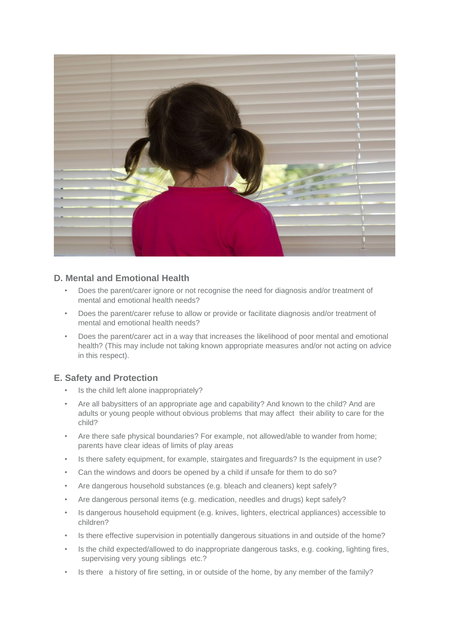

### **D. Mental and Emotional Health**

- Does the parent/carer ignore or not recognise the need for diagnosis and/or treatment of mental and emotional health needs?
- Does the parent/carer refuse to allow or provide or facilitate diagnosis and/or treatment of mental and emotional health needs?
- Does the parent/carer act in a way that increases the likelihood of poor mental and emotional health? (This may include not taking known appropriate measures and/or not acting on advice in this respect).

### **E. Safety and Protection**

- Is the child left alone inappropriately?
- Are all babysitters of an appropriate age and capability? And known to the child? And are adults or young people without obvious problems that may affect their ability to care for the child?
- Are there safe physical boundaries? For example, not allowed/able to wander from home; parents have clear ideas of limits of play areas
- Is there safety equipment, for example, stairgates and fireguards? Is the equipment in use?
- Can the windows and doors be opened by a child if unsafe for them to do so?
- Are dangerous household substances (e.g. bleach and cleaners) kept safely?
- Are dangerous personal items (e.g. medication, needles and drugs) kept safely?
- Is dangerous household equipment (e.g. knives, lighters, electrical appliances) accessible to children?
- Is there effective supervision in potentially dangerous situations in and outside of the home?
- Is the child expected/allowed to do inappropriate dangerous tasks, e.g. cooking, lighting fires, supervising very young siblings etc.?
- Is there a history of fire setting, in or outside of the home, by any member of the family?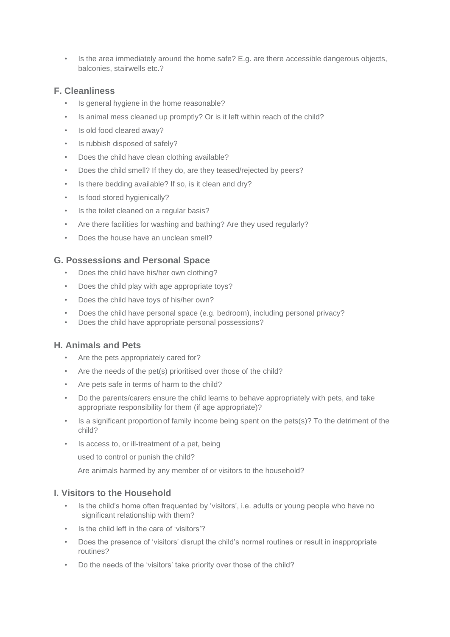• Is the area immediately around the home safe? E.g. are there accessible dangerous objects, balconies, stairwells etc.?

### **F. Cleanliness**

- Is general hygiene in the home reasonable?
- Is animal mess cleaned up promptly? Or is it left within reach of the child?
- Is old food cleared away?
- Is rubbish disposed of safely?
- Does the child have clean clothing available?
- Does the child smell? If they do, are they teased/rejected by peers?
- Is there bedding available? If so, is it clean and dry?
- Is food stored hygienically?
- Is the toilet cleaned on a regular basis?
- Are there facilities for washing and bathing? Are they used regularly?
- Does the house have an unclean smell?

### **G. Possessions and Personal Space**

- Does the child have his/her own clothing?
- Does the child play with age appropriate toys?
- Does the child have toys of his/her own?
- Does the child have personal space (e.g. bedroom), including personal privacy?
- Does the child have appropriate personal possessions?

### **H. Animals and Pets**

- Are the pets appropriately cared for?
- Are the needs of the pet(s) prioritised over those of the child?
- Are pets safe in terms of harm to the child?
- Do the parents/carers ensure the child learns to behave appropriately with pets, and take appropriate responsibility for them (if age appropriate)?
- Is a significant proportion of family income being spent on the pets(s)? To the detriment of the child?
- Is access to, or ill-treatment of a pet, being

used to control or punish the child?

Are animals harmed by any member of or visitors to the household?

### **I. Visitors to the Household**

- Is the child's home often frequented by 'visitors', i.e. adults or young people who have no significant relationship with them?
- Is the child left in the care of 'visitors'?
- Does the presence of 'visitors' disrupt the child's normal routines or result in inappropriate routines?
- Do the needs of the 'visitors' take priority over those of the child?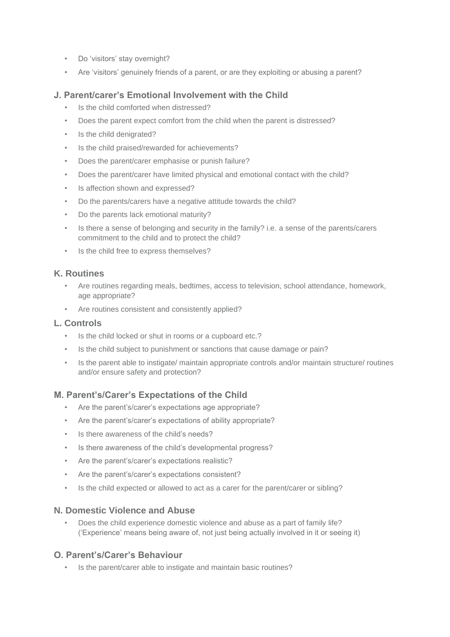- Do 'visitors' stay overnight?
- Are 'visitors' genuinely friends of a parent, or are they exploiting or abusing a parent?

### **J. Parent/carer's Emotional Involvement with the Child**

- Is the child comforted when distressed?
- Does the parent expect comfort from the child when the parent is distressed?
- Is the child denigrated?
- Is the child praised/rewarded for achievements?
- Does the parent/carer emphasise or punish failure?
- Does the parent/carer have limited physical and emotional contact with the child?
- Is affection shown and expressed?
- Do the parents/carers have a negative attitude towards the child?
- Do the parents lack emotional maturity?
- Is there a sense of belonging and security in the family? i.e. a sense of the parents/carers commitment to the child and to protect the child?
- Is the child free to express themselves?

### **K. Routines**

- Are routines regarding meals, bedtimes, access to television, school attendance, homework, age appropriate?
- Are routines consistent and consistently applied?

#### **L. Controls**

- Is the child locked or shut in rooms or a cupboard etc.?
- Is the child subject to punishment or sanctions that cause damage or pain?
- Is the parent able to instigate/ maintain appropriate controls and/or maintain structure/ routines and/or ensure safety and protection?

### **M. Parent's/Carer's Expectations of the Child**

- Are the parent's/carer's expectations age appropriate?
- Are the parent's/carer's expectations of ability appropriate?
- Is there awareness of the child's needs?
- Is there awareness of the child's developmental progress?
- Are the parent's/carer's expectations realistic?
- Are the parent's/carer's expectations consistent?
- Is the child expected or allowed to act as a carer for the parent/carer or sibling?

### **N. Domestic Violence and Abuse**

• Does the child experience domestic violence and abuse as a part of family life? ('Experience' means being aware of, not just being actually involved in it or seeing it)

#### **O. Parent's/Carer's Behaviour**

• Is the parent/carer able to instigate and maintain basic routines?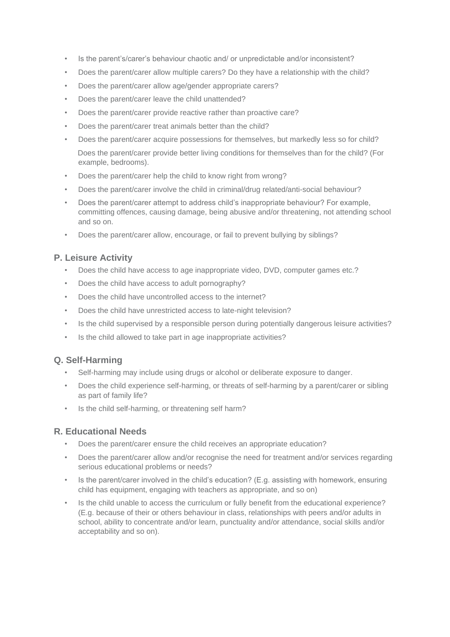- Is the parent's/carer's behaviour chaotic and/ or unpredictable and/or inconsistent?
- Does the parent/carer allow multiple carers? Do they have a relationship with the child?
- Does the parent/carer allow age/gender appropriate carers?
- Does the parent/carer leave the child unattended?
- Does the parent/carer provide reactive rather than proactive care?
- Does the parent/carer treat animals better than the child?
- Does the parent/carer acquire possessions for themselves, but markedly less so for child? Does the parent/carer provide better living conditions for themselves than for the child? (For example, bedrooms).
- Does the parent/carer help the child to know right from wrong?
- Does the parent/carer involve the child in criminal/drug related/anti-social behaviour?
- Does the parent/carer attempt to address child's inappropriate behaviour? For example, committing offences, causing damage, being abusive and/or threatening, not attending school and so on.
- Does the parent/carer allow, encourage, or fail to prevent bullying by siblings?

# **P. Leisure Activity**

- Does the child have access to age inappropriate video, DVD, computer games etc.?
- Does the child have access to adult pornography?
- Does the child have uncontrolled access to the internet?
- Does the child have unrestricted access to late-night television?
- Is the child supervised by a responsible person during potentially dangerous leisure activities?
- Is the child allowed to take part in age inappropriate activities?

### **Q. Self-Harming**

- Self-harming may include using drugs or alcohol or deliberate exposure to danger.
- Does the child experience self-harming, or threats of self-harming by a parent/carer or sibling as part of family life?
- Is the child self-harming, or threatening self harm?

### **R. Educational Needs**

- Does the parent/carer ensure the child receives an appropriate education?
- Does the parent/carer allow and/or recognise the need for treatment and/or services regarding serious educational problems or needs?
- Is the parent/carer involved in the child's education? (E.g. assisting with homework, ensuring child has equipment, engaging with teachers as appropriate, and so on)
- Is the child unable to access the curriculum or fully benefit from the educational experience? (E.g. because of their or others behaviour in class, relationships with peers and/or adults in school, ability to concentrate and/or learn, punctuality and/or attendance, social skills and/or acceptability and so on).